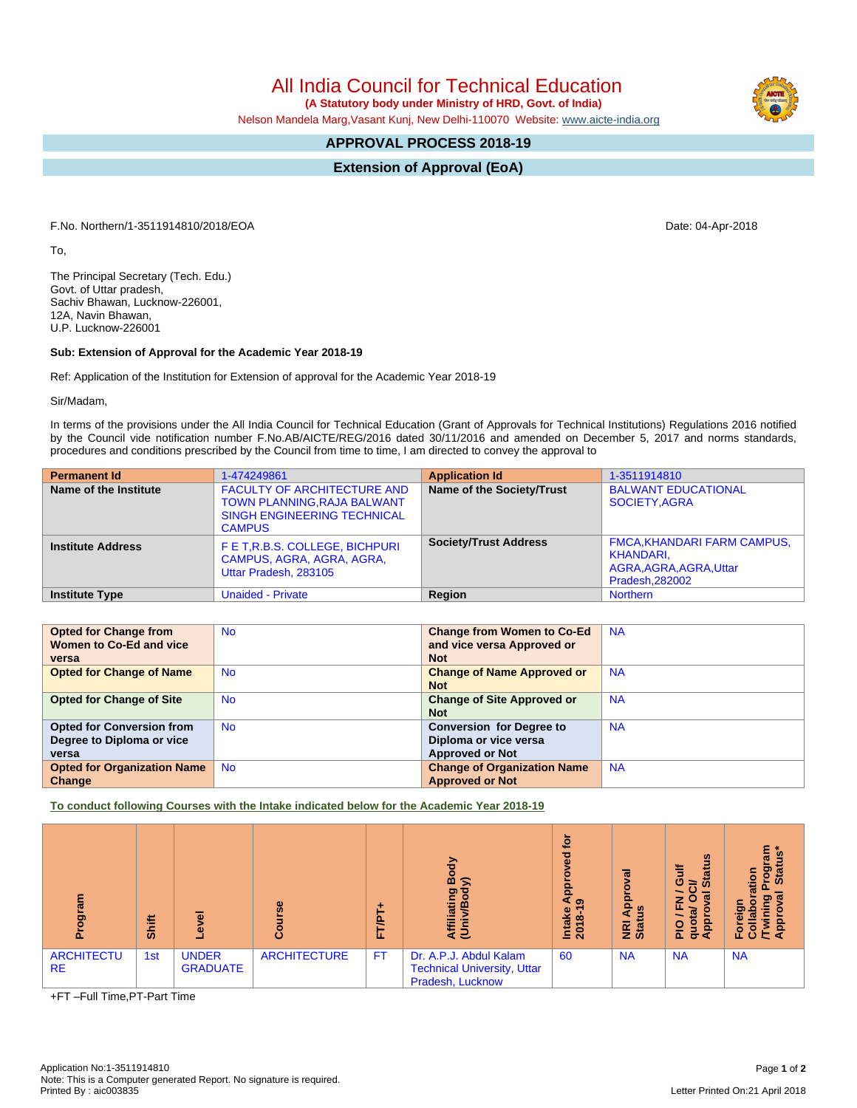All India Council for Technical Education

 **(A Statutory body under Ministry of HRD, Govt. of India)**

Nelson Mandela Marg,Vasant Kunj, New Delhi-110070 Website: [www.aicte-india.org](http://www.aicte-india.org)

## **APPROVAL PROCESS 2018-19**

**Extension of Approval (EoA)**

F.No. Northern/1-3511914810/2018/EOA Date: 04-Apr-2018

To,

The Principal Secretary (Tech. Edu.) Govt. of Uttar pradesh, Sachiv Bhawan, Lucknow-226001, 12A, Navin Bhawan, U.P. Lucknow-226001

## **Sub: Extension of Approval for the Academic Year 2018-19**

Ref: Application of the Institution for Extension of approval for the Academic Year 2018-19

Sir/Madam,

In terms of the provisions under the All India Council for Technical Education (Grant of Approvals for Technical Institutions) Regulations 2016 notified by the Council vide notification number F.No.AB/AICTE/REG/2016 dated 30/11/2016 and amended on December 5, 2017 and norms standards, procedures and conditions prescribed by the Council from time to time, I am directed to convey the approval to

| <b>Permanent Id</b>      | 1-474249861                                                                                                                     | <b>Application Id</b>        | 1-3511914810                                                                                  |
|--------------------------|---------------------------------------------------------------------------------------------------------------------------------|------------------------------|-----------------------------------------------------------------------------------------------|
| Name of the Institute    | <b>FACULTY OF ARCHITECTURE AND</b><br><b>TOWN PLANNING, RAJA BALWANT</b><br><b>SINGH ENGINEERING TECHNICAL</b><br><b>CAMPUS</b> | Name of the Society/Trust    | <b>BALWANT EDUCATIONAL</b><br>SOCIETY.AGRA                                                    |
| <b>Institute Address</b> | F E T, R.B.S. COLLEGE, BICHPURI<br>CAMPUS, AGRA, AGRA, AGRA,<br>Uttar Pradesh, 283105                                           | <b>Society/Trust Address</b> | <b>FMCA, KHANDARI FARM CAMPUS,</b><br>KHANDARI.<br>AGRA, AGRA, AGRA, Uttar<br>Pradesh, 282002 |
| <b>Institute Type</b>    | <b>Unaided - Private</b>                                                                                                        | Region                       | <b>Northern</b>                                                                               |

| <b>Opted for Change from</b>       | <b>No</b> | <b>Change from Women to Co-Ed</b>  | <b>NA</b> |
|------------------------------------|-----------|------------------------------------|-----------|
| Women to Co-Ed and vice            |           | and vice versa Approved or         |           |
| versa                              |           | <b>Not</b>                         |           |
| <b>Opted for Change of Name</b>    | <b>No</b> | <b>Change of Name Approved or</b>  | <b>NA</b> |
|                                    |           | <b>Not</b>                         |           |
| <b>Opted for Change of Site</b>    | <b>No</b> | <b>Change of Site Approved or</b>  | <b>NA</b> |
|                                    |           | <b>Not</b>                         |           |
| <b>Opted for Conversion from</b>   | <b>No</b> | <b>Conversion for Degree to</b>    | <b>NA</b> |
| Degree to Diploma or vice          |           | Diploma or vice versa              |           |
| versa                              |           | <b>Approved or Not</b>             |           |
| <b>Opted for Organization Name</b> | <b>No</b> | <b>Change of Organization Name</b> | <b>NA</b> |
| Change                             |           | <b>Approved or Not</b>             |           |

**To conduct following Courses with the Intake indicated below for the Academic Year 2018-19**

| о.                             | <b>Shift</b> | ळ<br>ω                          | $\omega$<br>o       | ⊢<br>e<br>⊢<br>iı. | Body<br>y)<br>Affiliating<br>(Univ/Bod <sup>)</sup>                              | ŏ<br>ъ<br><u>ခု</u><br>∢ စ<br>Intake<br>2018-1 | $\sigma$<br>윤<br>9<br>NRI<br>Stat | $\boldsymbol{\omega}$<br><b>Status</b><br>Gulf<br>∍<br>œ<br>Ю<br>z<br>щ<br>$\sigma$<br>ppr<br><b>DI</b> d<br>е<br>σ∢ | ្លាំ គ្ល<br>ఠ్రా<br>Star<br>tion<br>91<br>운영<br>$\Omega$ |
|--------------------------------|--------------|---------------------------------|---------------------|--------------------|----------------------------------------------------------------------------------|------------------------------------------------|-----------------------------------|----------------------------------------------------------------------------------------------------------------------|----------------------------------------------------------|
| <b>ARCHITECTU</b><br><b>RE</b> | 1st          | <b>UNDER</b><br><b>GRADUATE</b> | <b>ARCHITECTURE</b> | <b>FT</b>          | Dr. A.P.J. Abdul Kalam<br><b>Technical University, Uttar</b><br>Pradesh, Lucknow | 60                                             | <b>NA</b>                         | <b>NA</b>                                                                                                            | <b>NA</b>                                                |

+FT –Full Time,PT-Part Time